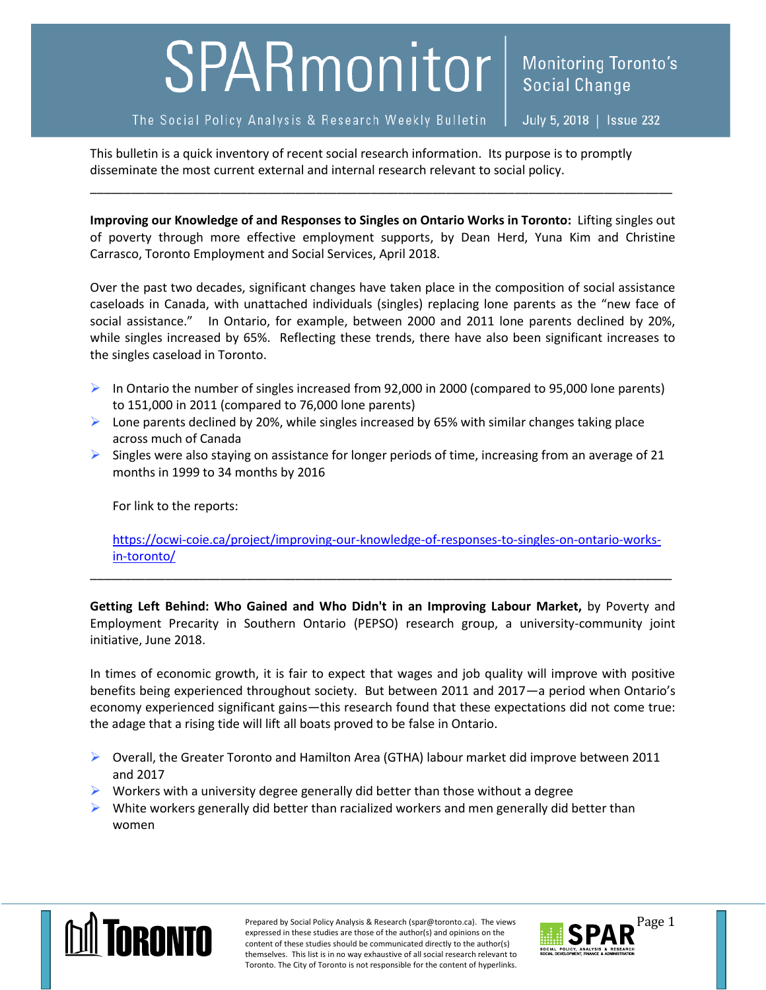## SPARmonitor

July 5, 2018 | Issue 232

**Social Change** 

**Monitoring Toronto's** 

This bulletin is a quick inventory of recent social research information. Its purpose is to promptly disseminate the most current external and internal research relevant to social policy.

**Improving our Knowledge of and Responses to Singles on Ontario Works in Toronto:** Lifting singles out of poverty through more effective employment supports, by Dean Herd, Yuna Kim and Christine Carrasco, Toronto Employment and Social Services, April 2018.

\_\_\_\_\_\_\_\_\_\_\_\_\_\_\_\_\_\_\_\_\_\_\_\_\_\_\_\_\_\_\_\_\_\_\_\_\_\_\_\_\_\_\_\_\_\_\_\_\_\_\_\_\_\_\_\_\_\_\_\_\_\_\_\_\_\_\_\_\_\_\_\_\_\_\_\_\_\_\_\_\_\_\_\_\_

Over the past two decades, significant changes have taken place in the composition of social assistance caseloads in Canada, with unattached individuals (singles) replacing lone parents as the "new face of social assistance." In Ontario, for example, between 2000 and 2011 lone parents declined by 20%, while singles increased by 65%. Reflecting these trends, there have also been significant increases to the singles caseload in Toronto.

- In Ontario the number of singles increased from 92,000 in 2000 (compared to 95,000 lone parents) to 151,000 in 2011 (compared to 76,000 lone parents)
- $\triangleright$  Lone parents declined by 20%, while singles increased by 65% with similar changes taking place across much of Canada
- $\triangleright$  Singles were also staying on assistance for longer periods of time, increasing from an average of 21 months in 1999 to 34 months by 2016

For link to the reports:

[https://ocwi-coie.ca/project/improving-our-knowledge-of-responses-to-singles-on-ontario-works](https://ocwi-coie.ca/project/improving-our-knowledge-of-responses-to-singles-on-ontario-works-in-toronto/)[in-toronto/](https://ocwi-coie.ca/project/improving-our-knowledge-of-responses-to-singles-on-ontario-works-in-toronto/)

\_\_\_\_\_\_\_\_\_\_\_\_\_\_\_\_\_\_\_\_\_\_\_\_\_\_\_\_\_\_\_\_\_\_\_\_\_\_\_\_\_\_\_\_\_\_\_\_\_\_\_\_\_\_\_\_\_\_\_\_\_\_\_\_\_\_\_\_\_\_\_\_\_\_\_\_\_\_\_\_\_\_\_\_\_

**Getting Left Behind: Who Gained and Who Didn't in an Improving Labour Market,** by Poverty and Employment Precarity in Southern Ontario (PEPSO) research group, a university-community joint initiative, June 2018.

In times of economic growth, it is fair to expect that wages and job quality will improve with positive benefits being experienced throughout society. But between 2011 and 2017—a period when Ontario's economy experienced significant gains—this research found that these expectations did not come true: the adage that a rising tide will lift all boats proved to be false in Ontario.

- $\triangleright$  Overall, the Greater Toronto and Hamilton Area (GTHA) labour market did improve between 2011 and 2017
- $\triangleright$  Workers with a university degree generally did better than those without a degree
- $\triangleright$  White workers generally did better than racialized workers and men generally did better than women



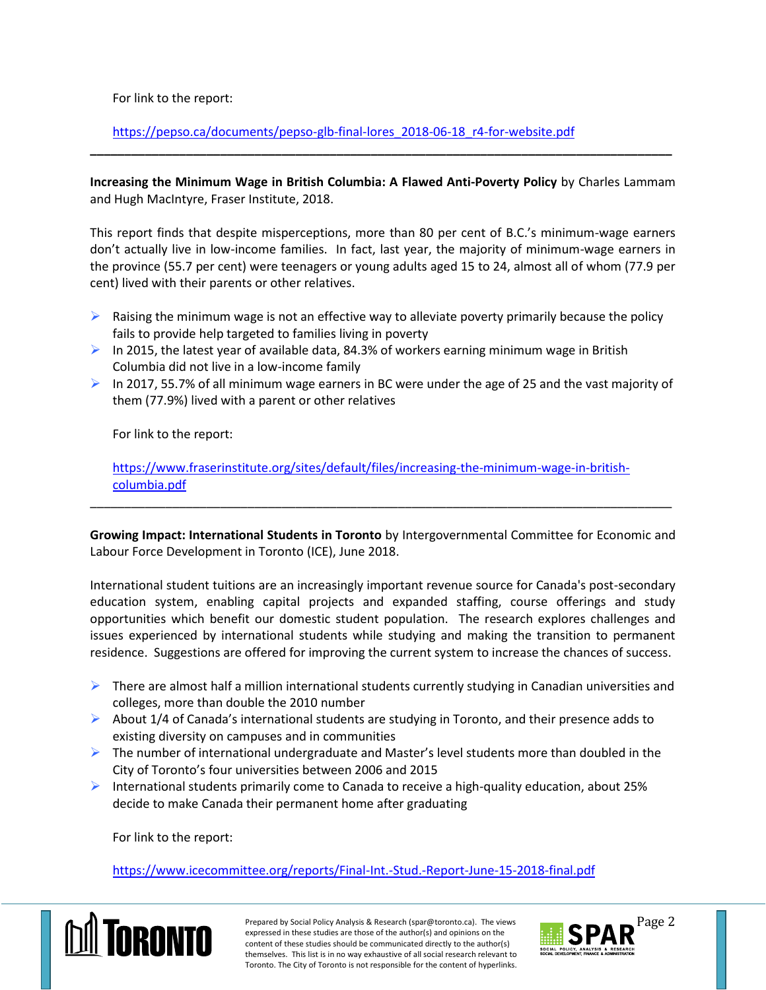For link to the report:

[https://pepso.ca/documents/pepso-glb-final-lores\\_2018-06-18\\_r4-for-website.pdf](https://pepso.ca/documents/pepso-glb-final-lores_2018-06-18_r4-for-website.pdf)

**Increasing the Minimum Wage in British Columbia: A Flawed Anti-Poverty Policy** by Charles Lammam and Hugh MacIntyre, Fraser Institute, 2018.

**\_\_\_\_\_\_\_\_\_\_\_\_\_\_\_\_\_\_\_\_\_\_\_\_\_\_\_\_\_\_\_\_\_\_\_\_\_\_\_\_\_\_\_\_\_\_\_\_\_\_\_\_\_\_\_\_\_\_\_\_\_\_\_\_\_\_\_\_\_\_\_\_\_\_\_\_\_\_\_\_\_\_\_\_\_**

This report finds that despite misperceptions, more than 80 per cent of B.C.'s minimum-wage earners don't actually live in low-income families. In fact, last year, the majority of minimum-wage earners in the province (55.7 per cent) were teenagers or young adults aged 15 to 24, almost all of whom (77.9 per cent) lived with their parents or other relatives.

- $\triangleright$  Raising the minimum wage is not an effective way to alleviate poverty primarily because the policy fails to provide help targeted to families living in poverty
- In 2015, the latest year of available data, 84.3% of workers earning minimum wage in British Columbia did not live in a low-income family
- In 2017, 55.7% of all minimum wage earners in BC were under the age of 25 and the vast majority of them (77.9%) lived with a parent or other relatives

For link to the report:

[https://www.fraserinstitute.org/sites/default/files/increasing-the-minimum-wage-in-british](https://www.fraserinstitute.org/sites/default/files/increasing-the-minimum-wage-in-british-columbia.pdf)[columbia.pdf](https://www.fraserinstitute.org/sites/default/files/increasing-the-minimum-wage-in-british-columbia.pdf)

**Growing Impact: International Students in Toronto** by Intergovernmental Committee for Economic and Labour Force Development in Toronto (ICE), June 2018.

\_\_\_\_\_\_\_\_\_\_\_\_\_\_\_\_\_\_\_\_\_\_\_\_\_\_\_\_\_\_\_\_\_\_\_\_\_\_\_\_\_\_\_\_\_\_\_\_\_\_\_\_\_\_\_\_\_\_\_\_\_\_\_\_\_\_\_\_\_\_\_\_\_\_\_\_\_\_\_\_\_\_\_\_\_

International student tuitions are an increasingly important revenue source for Canada's post-secondary education system, enabling capital projects and expanded staffing, course offerings and study opportunities which benefit our domestic student population. The research explores challenges and issues experienced by international students while studying and making the transition to permanent residence. Suggestions are offered for improving the current system to increase the chances of success.

- $\triangleright$  There are almost half a million international students currently studying in Canadian universities and colleges, more than double the 2010 number
- $\triangleright$  About 1/4 of Canada's international students are studying in Toronto, and their presence adds to existing diversity on campuses and in communities
- $\triangleright$  The number of international undergraduate and Master's level students more than doubled in the City of Toronto's four universities between 2006 and 2015
- International students primarily come to Canada to receive a high-quality education, about 25% decide to make Canada their permanent home after graduating

For link to the report:

<https://www.icecommittee.org/reports/Final-Int.-Stud.-Report-June-15-2018-final.pdf>